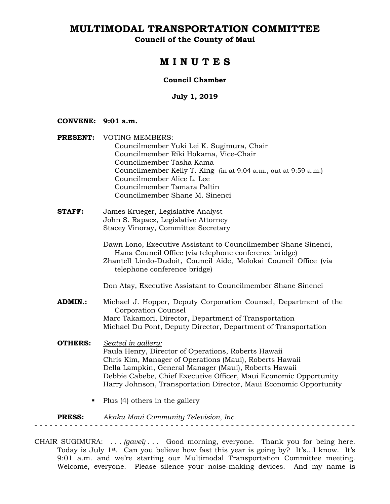**Council of the County of Maui** 

## **M I N U T E S**

#### **Council Chamber**

#### **July 1, 2019**

#### **CONVENE: 9:01 a.m.**

- **PRESENT:** VOTING MEMBERS: Councilmember Yuki Lei K. Sugimura, Chair Councilmember Riki Hokama, Vice-Chair Councilmember Tasha Kama Councilmember Kelly T. King (in at 9:04 a.m., out at 9:59 a.m.) Councilmember Alice L. Lee Councilmember Tamara Paltin Councilmember Shane M. Sinenci
- **STAFF:** James Krueger, Legislative Analyst John S. Rapacz, Legislative Attorney Stacey Vinoray, Committee Secretary

Dawn Lono, Executive Assistant to Councilmember Shane Sinenci, Hana Council Office (via telephone conference bridge) Zhantell Lindo-Dudoit, Council Aide, Molokai Council Office (via telephone conference bridge)

Don Atay, Executive Assistant to Councilmember Shane Sinenci

- **ADMIN.:** Michael J. Hopper, Deputy Corporation Counsel, Department of the Corporation Counsel Marc Takamori, Director, Department of Transportation Michael Du Pont, Deputy Director, Department of Transportation
- **OTHERS:** *Seated in gallery:*  Paula Henry, Director of Operations, Roberts Hawaii Chris Kim, Manager of Operations (Maui), Roberts Hawaii Della Lampkin, General Manager (Maui), Roberts Hawaii Debbie Cabebe, Chief Executive Officer, Maui Economic Opportunity Harry Johnson, Transportation Director, Maui Economic Opportunity
	- $\blacksquare$  Plus (4) others in the gallery

**PRESS:** *Akaku Maui Community Television, Inc.*  - - - - - - - - - - - - - - - - - - - - - - - - - - - - - - - - - - - - - - - - - - - - - - - - - - - - - - - - - - - - - - - -

CHAIR SUGIMURA: . . . *(gavel)* . . . Good morning, everyone. Thank you for being here. Today is July 1<sup>st</sup>. Can you believe how fast this year is going by? It's...I know. It's 9:01 a.m. and we're starting our Multimodal Transportation Committee meeting. Welcome, everyone. Please silence your noise-making devices. And my name is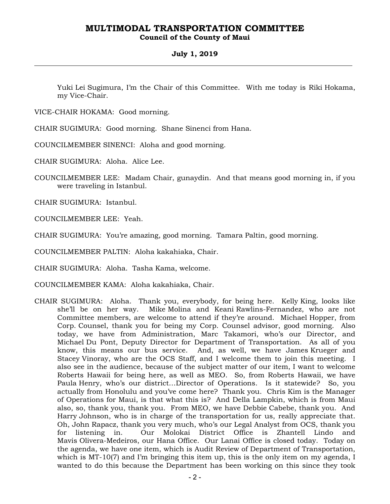### **Council of the County of Maui**

#### **July 1, 2019**

Yuki Lei Sugimura, I'm the Chair of this Committee. With me today is Riki Hokama, my Vice-Chair.

VICE-CHAIR HOKAMA: Good morning.

CHAIR SUGIMURA: Good morning. Shane Sinenci from Hana.

COUNCILMEMBER SINENCI: Aloha and good morning.

CHAIR SUGIMURA: Aloha. Alice Lee.

COUNCILMEMBER LEE: Madam Chair, gunaydin. And that means good morning in, if you were traveling in Istanbul.

CHAIR SUGIMURA: Istanbul.

COUNCILMEMBER LEE: Yeah.

CHAIR SUGIMURA: You're amazing, good morning. Tamara Paltin, good morning.

COUNCILMEMBER PALTIN: Aloha kakahiaka, Chair.

CHAIR SUGIMURA: Aloha. Tasha Kama, welcome.

COUNCILMEMBER KAMA: Aloha kakahiaka, Chair.

CHAIR SUGIMURA: Aloha. Thank you, everybody, for being here. Kelly King, looks like she'll be on her way. Mike Molina and Keani Rawlins-Fernandez, who are not Committee members, are welcome to attend if they're around. Michael Hopper, from Corp. Counsel, thank you for being my Corp. Counsel advisor, good morning. Also today, we have from Administration, Marc Takamori, who's our Director, and Michael Du Pont, Deputy Director for Department of Transportation. As all of you know, this means our bus service. And, as well, we have James Krueger and Stacey Vinoray, who are the OCS Staff, and I welcome them to join this meeting. I also see in the audience, because of the subject matter of our item, I want to welcome Roberts Hawaii for being here, as well as MEO. So, from Roberts Hawaii, we have Paula Henry, who's our district…Director of Operations. Is it statewide? So, you actually from Honolulu and you've come here? Thank you. Chris Kim is the Manager of Operations for Maui, is that what this is? And Della Lampkin, which is from Maui also, so, thank you, thank you. From MEO, we have Debbie Cabebe, thank you. And Harry Johnson, who is in charge of the transportation for us, really appreciate that. Oh, John Rapacz, thank you very much, who's our Legal Analyst from OCS, thank you for listening in. Our Molokai District Office is Zhantell Lindo and Mavis Olivera-Medeiros, our Hana Office. Our Lanai Office is closed today. Today on the agenda, we have one item, which is Audit Review of Department of Transportation, which is MT-10(7) and I'm bringing this item up, this is the only item on my agenda, I wanted to do this because the Department has been working on this since they took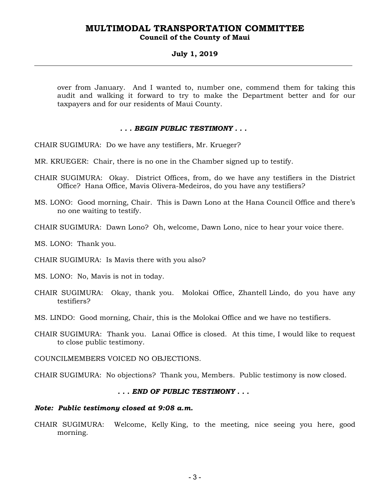### **Council of the County of Maui**

#### **July 1, 2019**

over from January. And I wanted to, number one, commend them for taking this audit and walking it forward to try to make the Department better and for our taxpayers and for our residents of Maui County.

#### *. . . BEGIN PUBLIC TESTIMONY . . .*

CHAIR SUGIMURA: Do we have any testifiers, Mr. Krueger?

- MR. KRUEGER: Chair, there is no one in the Chamber signed up to testify.
- CHAIR SUGIMURA: Okay. District Offices, from, do we have any testifiers in the District Office? Hana Office, Mavis Olivera-Medeiros, do you have any testifiers?
- MS. LONO: Good morning, Chair. This is Dawn Lono at the Hana Council Office and there's no one waiting to testify.
- CHAIR SUGIMURA: Dawn Lono? Oh, welcome, Dawn Lono, nice to hear your voice there.

MS. LONO: Thank you.

CHAIR SUGIMURA: Is Mavis there with you also?

MS. LONO: No, Mavis is not in today.

- CHAIR SUGIMURA: Okay, thank you. Molokai Office, Zhantell Lindo, do you have any testifiers?
- MS. LINDO: Good morning, Chair, this is the Molokai Office and we have no testifiers.
- CHAIR SUGIMURA: Thank you. Lanai Office is closed. At this time, I would like to request to close public testimony.
- COUNCILMEMBERS VOICED NO OBJECTIONS.
- CHAIR SUGIMURA: No objections? Thank you, Members. Public testimony is now closed.

#### *. . . END OF PUBLIC TESTIMONY . . .*

#### *Note: Public testimony closed at 9:08 a.m.*

CHAIR SUGIMURA: Welcome, Kelly King, to the meeting, nice seeing you here, good morning.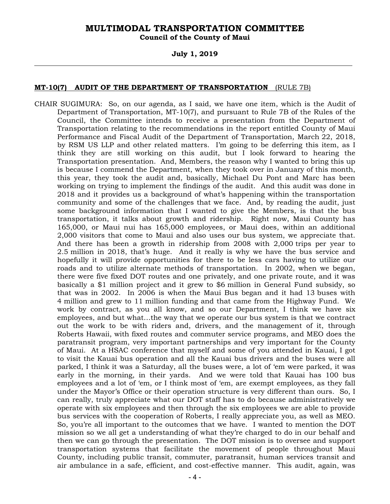**Council of the County of Maui** 

#### **July 1, 2019**

#### **MT-10(7) AUDIT OF THE DEPARTMENT OF TRANSPORTATION** (RULE 7B)

CHAIR SUGIMURA: So, on our agenda, as I said, we have one item, which is the Audit of Department of Transportation, MT-10(7), and pursuant to Rule 7B of the Rules of the Council, the Committee intends to receive a presentation from the Department of Transportation relating to the recommendations in the report entitled County of Maui Performance and Fiscal Audit of the Department of Transportation, March 22, 2018, by RSM US LLP and other related matters. I'm going to be deferring this item, as I think they are still working on this audit, but I look forward to hearing the Transportation presentation. And, Members, the reason why I wanted to bring this up is because I commend the Department, when they took over in January of this month, this year, they took the audit and, basically, Michael Du Pont and Marc has been working on trying to implement the findings of the audit. And this audit was done in 2018 and it provides us a background of what's happening within the transportation community and some of the challenges that we face. And, by reading the audit, just some background information that I wanted to give the Members, is that the bus transportation, it talks about growth and ridership. Right now, Maui County has 165,000, or Maui nui has 165,000 employees, or Maui does, within an additional 2,000 visitors that come to Maui and also uses our bus system, we appreciate that. And there has been a growth in ridership from 2008 with 2,000 trips per year to 2.5 million in 2018, that's huge. And it really is why we have the bus service and hopefully it will provide opportunities for there to be less cars having to utilize our roads and to utilize alternate methods of transportation. In 2002, when we began, there were five fixed DOT routes and one privately, and one private route, and it was basically a \$1 million project and it grew to \$6 million in General Fund subsidy, so that was in 2002. In 2006 is when the Maui Bus began and it had 13 buses with 4 million and grew to 11 million funding and that came from the Highway Fund. We work by contract, as you all know, and so our Department, I think we have six employees, and but what…the way that we operate our bus system is that we contract out the work to be with riders and, drivers, and the management of it, through Roberts Hawaii, with fixed routes and commuter service programs, and MEO does the paratransit program, very important partnerships and very important for the County of Maui. At a HSAC conference that myself and some of you attended in Kauai, I got to visit the Kauai bus operation and all the Kauai bus drivers and the buses were all parked, I think it was a Saturday, all the buses were, a lot of 'em were parked, it was early in the morning, in their yards. And we were told that Kauai has 100 bus employees and a lot of 'em, or I think most of 'em, are exempt employees, as they fall under the Mayor's Office or their operation structure is very different than ours. So, I can really, truly appreciate what our DOT staff has to do because administratively we operate with six employees and then through the six employees we are able to provide bus services with the cooperation of Roberts, I really appreciate you, as well as MEO. So, you're all important to the outcomes that we have. I wanted to mention the DOT mission so we all get a understanding of what they're charged to do in our behalf and then we can go through the presentation. The DOT mission is to oversee and support transportation systems that facilitate the movement of people throughout Maui County, including public transit, commuter, paratransit, human services transit and air ambulance in a safe, efficient, and cost-effective manner. This audit, again, was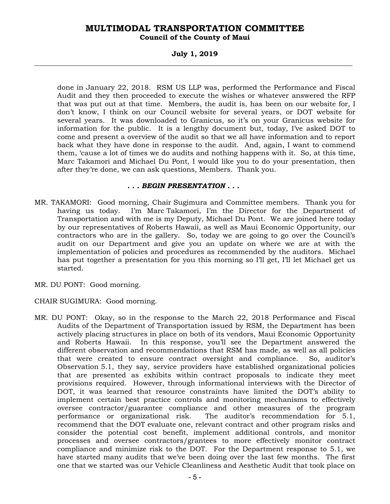#### **Council of the County of Maui**

#### **July 1, 2019**

done in January 22, 2018. RSM US LLP was, performed the Performance and Fiscal Audit and they then proceeded to execute the wishes or whatever answered the RFP that was put out at that time. Members, the audit is, has been on our website for, I don't know, I think on our Council website for several years, or DOT website for several years. It was downloaded to Granicus, so it's on your Granicus website for information for the public. It is a lengthy document but, today, I've asked DOT to come and present a overview of the audit so that we all have information and to report back what they have done in response to the audit. And, again, I want to commend them, 'cause a lot of times we do audits and nothing happens with it. So, at this time, Marc Takamori and Michael Du Pont, I would like you to do your presentation, then after they're done, we can ask questions, Members. Thank you.

#### *. . . BEGIN PRESENTATION . . .*

- MR. TAKAMORI: Good morning, Chair Sugimura and Committee members. Thank you for having us today. I'm Marc Takamori, I'm the Director for the Department of Transportation and with me is my Deputy, Michael Du Pont. We are joined here today by our representatives of Roberts Hawaii, as well as Maui Economic Opportunity, our contractors who are in the gallery. So, today we are going to go over the Council's audit on our Department and give you an update on where we are at with the implementation of policies and procedures as recommended by the auditors. Michael has put together a presentation for you this morning so I'll get, I'll let Michael get us started.
- MR. DU PONT: Good morning.
- CHAIR SUGIMURA: Good morning.
- MR. DU PONT: Okay, so in the response to the March 22, 2018 Performance and Fiscal Audits of the Department of Transportation issued by RSM, the Department has been actively placing structures in place on both of its vendors, Maui Economic Opportunity and Roberts Hawaii. In this response, you'll see the Department answered the different observation and recommendations that RSM has made, as well as all policies that were created to ensure contract oversight and compliance. So, auditor's Observation 5.1, they say, service providers have established organizational policies that are presented as exhibits within contract proposals to indicate they meet provisions required. However, through informational interviews with the Director of DOT, it was learned that resource constraints have limited the DOT's ability to implement certain best practice controls and monitoring mechanisms to effectively oversee contractor/guarantee compliance and other measures of the program performance or organizational risk. The auditor's recommendation for 5.1, recommend that the DOT evaluate one, relevant contract and other program risks and consider the potential cost benefit, implement additional controls, and monitor processes and oversee contractors/grantees to more effectively monitor contract compliance and minimize risk to the DOT. For the Department response to 5.1, we have started many audits that we've been doing over the last few months. The first one that we started was our Vehicle Cleanliness and Aesthetic Audit that took place on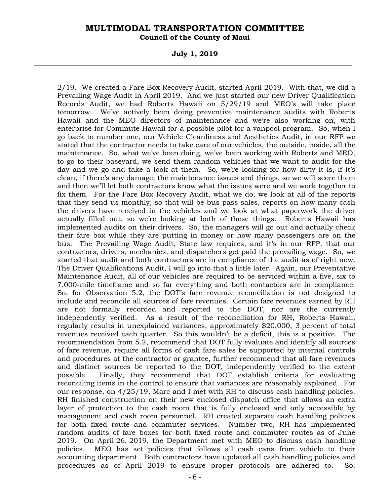**Council of the County of Maui** 

**July 1, 2019** 

2/19. We created a Fare Box Recovery Audit, started April 2019. With that, we did a Prevailing Wage Audit in April 2019. And we just started our new Driver Qualification Records Audit, we had Roberts Hawaii on 5/29/19 and MEO's will take place tomorrow. We've actively been doing preventive maintenance audits with Roberts Hawaii and the MEO directors of maintenance and we're also working on, with enterprise for Commute Hawaii for a possible pilot for a vanpool program. So, when I go back to number one, our Vehicle Cleanliness and Aesthetics Audit, in our RFP we stated that the contractor needs to take care of our vehicles, the outside, inside, all the maintenance. So, what we've been doing, we've been working with Roberts and MEO, to go to their baseyard, we send them random vehicles that we want to audit for the day and we go and take a look at them. So, we're looking for how dirty it is, if it's clean, if there's any damage, the maintenance issues and things, so we will score them and then we'll let both contractors know what the issues were and we work together to fix them. For the Fare Box Recovery Audit, what we do, we look at all of the reports that they send us monthly, so that will be bus pass sales, reports on how many cash the drivers have received in the vehicles and we look at what paperwork the driver actually filled out, so we're looking at both of these things. Roberts Hawaii has implemented audits on their drivers. So, the managers will go out and actually check their fare box while they are putting in money or how many passengers are on the bus. The Prevailing Wage Audit, State law requires, and it's in our RFP, that our contractors, drivers, mechanics, and dispatchers get paid the prevailing wage. So, we started that audit and both contractors are in compliance of the audit as of right now. The Driver Qualifications Audit, I will go into that a little later. Again, our Preventative Maintenance Audit, all of our vehicles are required to be serviced within a five, six to 7,000-mile timeframe and so far everything and both contactors are in compliance. So, for Observation 5.2, the DOT's fare revenue reconciliation is not designed to include and reconcile all sources of fare revenues. Certain fare revenues earned by RH are not formally recorded and reported to the DOT, nor are the currently independently verified. As a result of the reconciliation for RH, Roberts Hawaii, regularly results in unexplained variances, approximately \$20,000, 3 percent of total revenues received each quarter. So this wouldn't be a deficit, this is a positive. The recommendation from 5.2, recommend that DOT fully evaluate and identify all sources of fare revenue, require all forms of cash fare sales be supported by internal controls and procedures at the contractor or grantee, further recommend that all fare revenues and distinct sources be reported to the DOT, independently verified to the extent possible. Finally, they recommend that DOT establish criteria for evaluating reconciling items in the control to ensure that variances are reasonably explained. For our response, on 4/25/19, Marc and I met with RH to discuss cash handling policies. RH finished construction on their new enclosed dispatch office that allows an extra layer of protection to the cash room that is fully enclosed and only accessible by management and cash room personnel. RH created separate cash handling policies for both fixed route and commuter services. Number two, RH has implemented random audits of fare boxes for both fixed route and commuter routes as of June 2019. On April 26, 2019, the Department met with MEO to discuss cash handling policies. MEO has set policies that follows all cash cans from vehicle to their accounting department. Both contractors have updated all cash handling policies and procedures as of April 2019 to ensure proper protocols are adhered to. So,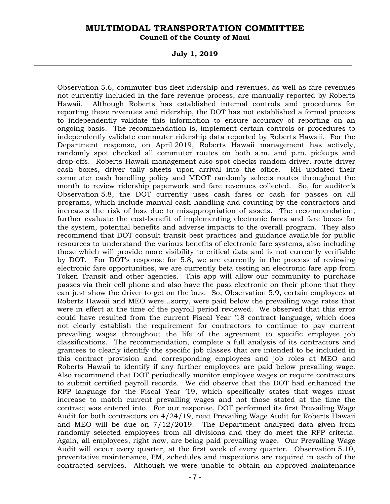**Council of the County of Maui** 

**July 1, 2019** 

Observation 5.6, commuter bus fleet ridership and revenues, as well as fare revenues not currently included in the fare revenue process, are manually reported by Roberts Hawaii. Although Roberts has established internal controls and procedures for reporting these revenues and ridership, the DOT has not established a formal process to independently validate this information to ensure accuracy of reporting on an ongoing basis. The recommendation is, implement certain controls or procedures to independently validate commuter ridership data reported by Roberts Hawaii. For the Department response, on April 2019, Roberts Hawaii management has actively, randomly spot checked all commuter routes on both a.m. and p.m. pickups and drop-offs. Roberts Hawaii management also spot checks random driver, route driver cash boxes, driver tally sheets upon arrival into the office. RH updated their commuter cash handling policy and MDOT randomly selects routes throughout the month to review ridership paperwork and fare revenues collected. So, for auditor's Observation 5.8, the DOT currently uses cash fares or cash for passes on all programs, which include manual cash handling and counting by the contractors and increases the risk of loss due to misappropriation of assets. The recommendation, further evaluate the cost-benefit of implementing electronic fares and fare boxes for the system, potential benefits and adverse impacts to the overall program. They also recommend that DOT consult transit best practices and guidance available for public resources to understand the various benefits of electronic fare systems, also including those which will provide more visibility to critical data and is not currently verifiable by DOT. For DOT's response for 5.8, we are currently in the process of reviewing electronic fare opportunities, we are currently beta testing an electronic fare app from Token Transit and other agencies. This app will allow our community to purchase passes via their cell phone and also have the pass electronic on their phone that they can just show the driver to get on the bus. So, Observation 5.9, certain employees at Roberts Hawaii and MEO were…sorry, were paid below the prevailing wage rates that were in effect at the time of the payroll period reviewed. We observed that this error could have resulted from the current Fiscal Year '18 contract language, which does not clearly establish the requirement for contractors to continue to pay current prevailing wages throughout the life of the agreement to specific employee job classifications. The recommendation, complete a full analysis of its contractors and grantees to clearly identify the specific job classes that are intended to be included in this contract provision and corresponding employees and job roles at MEO and Roberts Hawaii to identify if any further employees are paid below prevailing wage. Also recommend that DOT periodically monitor employee wages or require contractors to submit certified payroll records. We did observe that the DOT had enhanced the RFP language for the Fiscal Year '19, which specifically states that wages must increase to match current prevailing wages and not those stated at the time the contract was entered into. For our response, DOT performed its first Prevailing Wage Audit for both contractors on 4/24/19, next Prevailing Wage Audit for Roberts Hawaii and MEO will be due on 7/12/2019. The Department analyzed data given from randomly selected employees from all divisions and they do meet the RFP criteria. Again, all employees, right now, are being paid prevailing wage. Our Prevailing Wage Audit will occur every quarter, at the first week of every quarter. Observation 5.10, preventative maintenance, PM, schedules and inspections are required in each of the contracted services. Although we were unable to obtain an approved maintenance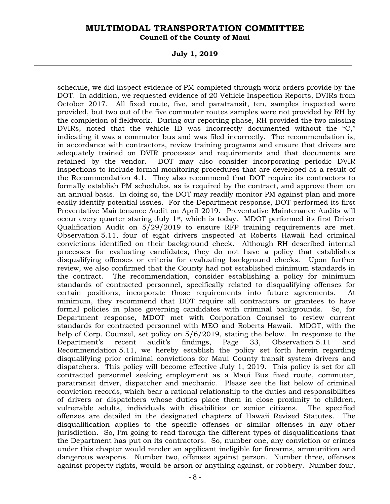**Council of the County of Maui** 

**July 1, 2019** 

schedule, we did inspect evidence of PM completed through work orders provide by the DOT. In addition, we requested evidence of 20 Vehicle Inspection Reports, DVIRs from October 2017. All fixed route, five, and paratransit, ten, samples inspected were provided, but two out of the five commuter routes samples were not provided by RH by the completion of fieldwork. During our reporting phase, RH provided the two missing DVIRs, noted that the vehicle ID was incorrectly documented without the "C," indicating it was a commuter bus and was filed incorrectly. The recommendation is, in accordance with contractors, review training programs and ensure that drivers are adequately trained on DVIR processes and requirements and that documents are retained by the vendor. DOT may also consider incorporating periodic DVIR inspections to include formal monitoring procedures that are developed as a result of the Recommendation 4.1. They also recommend that DOT require its contractors to formally establish PM schedules, as is required by the contract, and approve them on an annual basis. In doing so, the DOT may readily monitor PM against plan and more easily identify potential issues. For the Department response, DOT performed its first Preventative Maintenance Audit on April 2019. Preventative Maintenance Audits will occur every quarter staring July 1st, which is today. MDOT performed its first Driver Qualification Audit on 5/29/2019 to ensure RFP training requirements are met. Observation 5.11, four of eight drivers inspected at Roberts Hawaii had criminal convictions identified on their background check. Although RH described internal processes for evaluating candidates, they do not have a policy that establishes disqualifying offenses or criteria for evaluating background checks. Upon further review, we also confirmed that the County had not established minimum standards in the contract. The recommendation, consider establishing a policy for minimum standards of contracted personnel, specifically related to disqualifying offenses for certain positions, incorporate those requirements into future agreements. At minimum, they recommend that DOT require all contractors or grantees to have formal policies in place governing candidates with criminal backgrounds. So, for Department response, MDOT met with Corporation Counsel to review current standards for contracted personnel with MEO and Roberts Hawaii. MDOT, with the help of Corp. Counsel, set policy on 5/6/2019, stating the below. In response to the Department's recent audit's findings, Page 33, Observation 5.11 and Recommendation 5.11, we hereby establish the policy set forth herein regarding disqualifying prior criminal convictions for Maui County transit system drivers and dispatchers. This policy will become effective July 1, 2019. This policy is set for all contracted personnel seeking employment as a Maui Bus fixed route, commuter, paratransit driver, dispatcher and mechanic. Please see the list below of criminal conviction records, which bear a rational relationship to the duties and responsibilities of drivers or dispatchers whose duties place them in close proximity to children, vulnerable adults, individuals with disabilities or senior citizens. The specified offenses are detailed in the designated chapters of Hawaii Revised Statutes. The disqualification applies to the specific offenses or similar offenses in any other jurisdiction. So, I'm going to read through the different types of disqualifications that the Department has put on its contractors. So, number one, any conviction or crimes under this chapter would render an applicant ineligible for firearms, ammunition and dangerous weapons. Number two, offenses against person. Number three, offenses against property rights, would be arson or anything against, or robbery. Number four,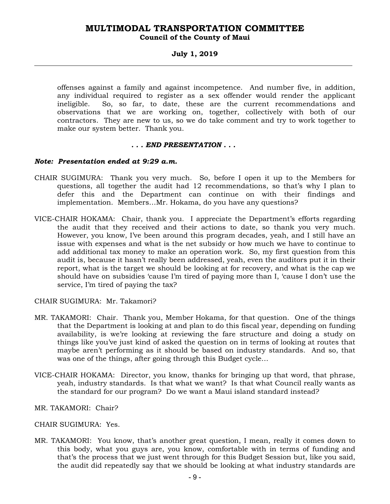## **Council of the County of Maui**

#### **July 1, 2019**

offenses against a family and against incompetence. And number five, in addition, any individual required to register as a sex offender would render the applicant ineligible. So, so far, to date, these are the current recommendations and observations that we are working on, together, collectively with both of our contractors. They are new to us, so we do take comment and try to work together to make our system better. Thank you.

#### *. . . END PRESENTATION . . .*

#### *Note: Presentation ended at 9:29 a.m.*

- CHAIR SUGIMURA: Thank you very much. So, before I open it up to the Members for questions, all together the audit had 12 recommendations, so that's why I plan to defer this and the Department can continue on with their findings and implementation. Members…Mr. Hokama, do you have any questions?
- VICE-CHAIR HOKAMA: Chair, thank you. I appreciate the Department's efforts regarding the audit that they received and their actions to date, so thank you very much. However, you know, I've been around this program decades, yeah, and I still have an issue with expenses and what is the net subsidy or how much we have to continue to add additional tax money to make an operation work. So, my first question from this audit is, because it hasn't really been addressed, yeah, even the auditors put it in their report, what is the target we should be looking at for recovery, and what is the cap we should have on subsidies 'cause I'm tired of paying more than I, 'cause I don't use the service, I'm tired of paying the tax?

#### CHAIR SUGIMURA: Mr. Takamori?

- MR. TAKAMORI: Chair. Thank you, Member Hokama, for that question. One of the things that the Department is looking at and plan to do this fiscal year, depending on funding availability, is we're looking at reviewing the fare structure and doing a study on things like you've just kind of asked the question on in terms of looking at routes that maybe aren't performing as it should be based on industry standards. And so, that was one of the things, after going through this Budget cycle…
- VICE-CHAIR HOKAMA: Director, you know, thanks for bringing up that word, that phrase, yeah, industry standards. Is that what we want? Is that what Council really wants as the standard for our program? Do we want a Maui island standard instead?
- MR. TAKAMORI: Chair?
- CHAIR SUGIMURA: Yes.
- MR. TAKAMORI: You know, that's another great question, I mean, really it comes down to this body, what you guys are, you know, comfortable with in terms of funding and that's the process that we just went through for this Budget Session but, like you said, the audit did repeatedly say that we should be looking at what industry standards are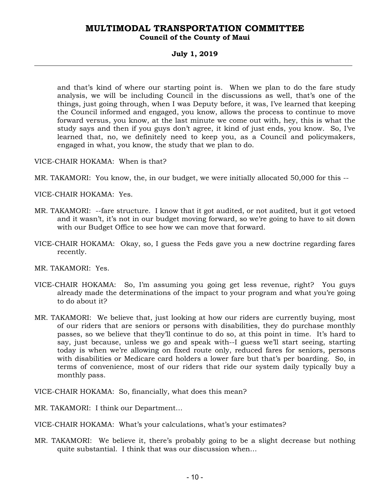#### **Council of the County of Maui**

#### **July 1, 2019**

and that's kind of where our starting point is. When we plan to do the fare study analysis, we will be including Council in the discussions as well, that's one of the things, just going through, when I was Deputy before, it was, I've learned that keeping the Council informed and engaged, you know, allows the process to continue to move forward versus, you know, at the last minute we come out with, hey, this is what the study says and then if you guys don't agree, it kind of just ends, you know. So, I've learned that, no, we definitely need to keep you, as a Council and policymakers, engaged in what, you know, the study that we plan to do.

VICE-CHAIR HOKAMA: When is that?

MR. TAKAMORI: You know, the, in our budget, we were initially allocated 50,000 for this --

VICE-CHAIR HOKAMA: Yes.

- MR. TAKAMORI: --fare structure. I know that it got audited, or not audited, but it got vetoed and it wasn't, it's not in our budget moving forward, so we're going to have to sit down with our Budget Office to see how we can move that forward.
- VICE-CHAIR HOKAMA: Okay, so, I guess the Feds gave you a new doctrine regarding fares recently.
- MR. TAKAMORI: Yes.
- VICE-CHAIR HOKAMA: So, I'm assuming you going get less revenue, right? You guys already made the determinations of the impact to your program and what you're going to do about it?
- MR. TAKAMORI: We believe that, just looking at how our riders are currently buying, most of our riders that are seniors or persons with disabilities, they do purchase monthly passes, so we believe that they'll continue to do so, at this point in time. It's hard to say, just because, unless we go and speak with--I guess we'll start seeing, starting today is when we're allowing on fixed route only, reduced fares for seniors, persons with disabilities or Medicare card holders a lower fare but that's per boarding. So, in terms of convenience, most of our riders that ride our system daily typically buy a monthly pass.

VICE-CHAIR HOKAMA: So, financially, what does this mean?

MR. TAKAMORI: I think our Department…

VICE-CHAIR HOKAMA: What's your calculations, what's your estimates?

MR. TAKAMORI: We believe it, there's probably going to be a slight decrease but nothing quite substantial. I think that was our discussion when…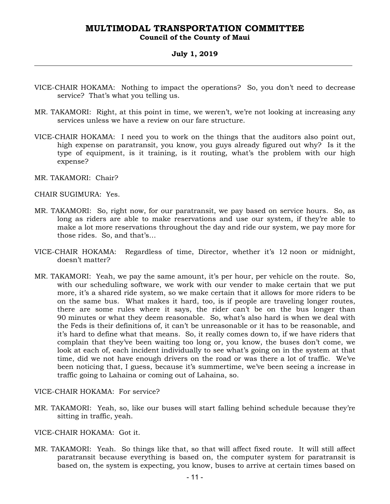### **Council of the County of Maui**

#### **July 1, 2019**

- VICE-CHAIR HOKAMA: Nothing to impact the operations? So, you don't need to decrease service? That's what you telling us.
- MR. TAKAMORI: Right, at this point in time, we weren't, we're not looking at increasing any services unless we have a review on our fare structure.
- VICE-CHAIR HOKAMA: I need you to work on the things that the auditors also point out, high expense on paratransit, you know, you guys already figured out why? Is it the type of equipment, is it training, is it routing, what's the problem with our high expense?
- MR. TAKAMORI: Chair?

CHAIR SUGIMURA: Yes.

- MR. TAKAMORI: So, right now, for our paratransit, we pay based on service hours. So, as long as riders are able to make reservations and use our system, if they're able to make a lot more reservations throughout the day and ride our system, we pay more for those rides. So, and that's…
- VICE-CHAIR HOKAMA: Regardless of time, Director, whether it's 12 noon or midnight, doesn't matter?
- MR. TAKAMORI: Yeah, we pay the same amount, it's per hour, per vehicle on the route. So, with our scheduling software, we work with our vender to make certain that we put more, it's a shared ride system, so we make certain that it allows for more riders to be on the same bus. What makes it hard, too, is if people are traveling longer routes, there are some rules where it says, the rider can't be on the bus longer than 90 minutes or what they deem reasonable. So, what's also hard is when we deal with the Feds is their definitions of, it can't be unreasonable or it has to be reasonable, and it's hard to define what that means. So, it really comes down to, if we have riders that complain that they've been waiting too long or, you know, the buses don't come, we look at each of, each incident individually to see what's going on in the system at that time, did we not have enough drivers on the road or was there a lot of traffic. We've been noticing that, I guess, because it's summertime, we've been seeing a increase in traffic going to Lahaina or coming out of Lahaina, so.

VICE-CHAIR HOKAMA: For service?

- MR. TAKAMORI: Yeah, so, like our buses will start falling behind schedule because they're sitting in traffic, yeah.
- VICE-CHAIR HOKAMA: Got it.
- MR. TAKAMORI: Yeah. So things like that, so that will affect fixed route. It will still affect paratransit because everything is based on, the computer system for paratransit is based on, the system is expecting, you know, buses to arrive at certain times based on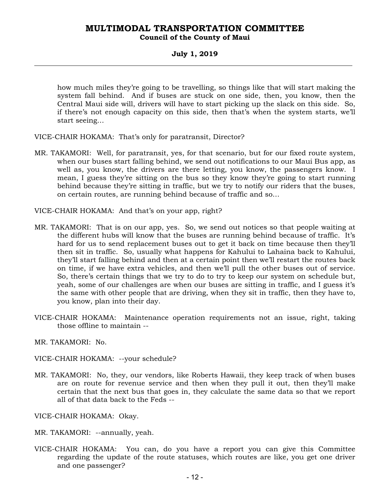### **MULTIMODAL TRANSPORTATION COMMITTEE Council of the County of Maui**

#### **July 1, 2019**

how much miles they're going to be travelling, so things like that will start making the system fall behind. And if buses are stuck on one side, then, you know, then the Central Maui side will, drivers will have to start picking up the slack on this side. So, if there's not enough capacity on this side, then that's when the system starts, we'll start seeing…

VICE-CHAIR HOKAMA: That's only for paratransit, Director?

MR. TAKAMORI: Well, for paratransit, yes, for that scenario, but for our fixed route system, when our buses start falling behind, we send out notifications to our Maui Bus app, as well as, you know, the drivers are there letting, you know, the passengers know. I mean, I guess they're sitting on the bus so they know they're going to start running behind because they're sitting in traffic, but we try to notify our riders that the buses, on certain routes, are running behind because of traffic and so…

VICE-CHAIR HOKAMA: And that's on your app, right?

- MR. TAKAMORI: That is on our app, yes. So, we send out notices so that people waiting at the different hubs will know that the buses are running behind because of traffic. It's hard for us to send replacement buses out to get it back on time because then they'll then sit in traffic. So, usually what happens for Kahului to Lahaina back to Kahului, they'll start falling behind and then at a certain point then we'll restart the routes back on time, if we have extra vehicles, and then we'll pull the other buses out of service. So, there's certain things that we try to do to try to keep our system on schedule but, yeah, some of our challenges are when our buses are sitting in traffic, and I guess it's the same with other people that are driving, when they sit in traffic, then they have to, you know, plan into their day.
- VICE-CHAIR HOKAMA: Maintenance operation requirements not an issue, right, taking those offline to maintain --

MR. TAKAMORI: No.

VICE-CHAIR HOKAMA: --your schedule?

MR. TAKAMORI: No, they, our vendors, like Roberts Hawaii, they keep track of when buses are on route for revenue service and then when they pull it out, then they'll make certain that the next bus that goes in, they calculate the same data so that we report all of that data back to the Feds --

VICE-CHAIR HOKAMA: Okay.

- MR. TAKAMORI: --annually, yeah.
- VICE-CHAIR HOKAMA: You can, do you have a report you can give this Committee regarding the update of the route statuses, which routes are like, you get one driver and one passenger?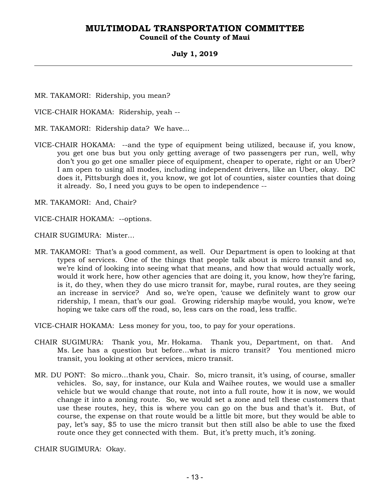#### **Council of the County of Maui**

#### **July 1, 2019**

MR. TAKAMORI: Ridership, you mean?

VICE-CHAIR HOKAMA: Ridership, yeah --

MR. TAKAMORI: Ridership data? We have…

VICE-CHAIR HOKAMA: --and the type of equipment being utilized, because if, you know, you get one bus but you only getting average of two passengers per run, well, why don't you go get one smaller piece of equipment, cheaper to operate, right or an Uber? I am open to using all modes, including independent drivers, like an Uber, okay. DC does it, Pittsburgh does it, you know, we got lot of counties, sister counties that doing it already. So, I need you guys to be open to independence --

MR. TAKAMORI: And, Chair?

VICE-CHAIR HOKAMA: --options.

CHAIR SUGIMURA: Mister…

MR. TAKAMORI: That's a good comment, as well. Our Department is open to looking at that types of services. One of the things that people talk about is micro transit and so, we're kind of looking into seeing what that means, and how that would actually work, would it work here, how other agencies that are doing it, you know, how they're faring, is it, do they, when they do use micro transit for, maybe, rural routes, are they seeing an increase in service? And so, we're open, 'cause we definitely want to grow our ridership, I mean, that's our goal. Growing ridership maybe would, you know, we're hoping we take cars off the road, so, less cars on the road, less traffic.

VICE-CHAIR HOKAMA: Less money for you, too, to pay for your operations.

- CHAIR SUGIMURA: Thank you, Mr. Hokama. Thank you, Department, on that. And Ms. Lee has a question but before…what is micro transit? You mentioned micro transit, you looking at other services, micro transit.
- MR. DU PONT: So micro…thank you, Chair. So, micro transit, it's using, of course, smaller vehicles. So, say, for instance, our Kula and Waihee routes, we would use a smaller vehicle but we would change that route, not into a full route, how it is now, we would change it into a zoning route. So, we would set a zone and tell these customers that use these routes, hey, this is where you can go on the bus and that's it. But, of course, the expense on that route would be a little bit more, but they would be able to pay, let's say, \$5 to use the micro transit but then still also be able to use the fixed route once they get connected with them. But, it's pretty much, it's zoning.

CHAIR SUGIMURA: Okay.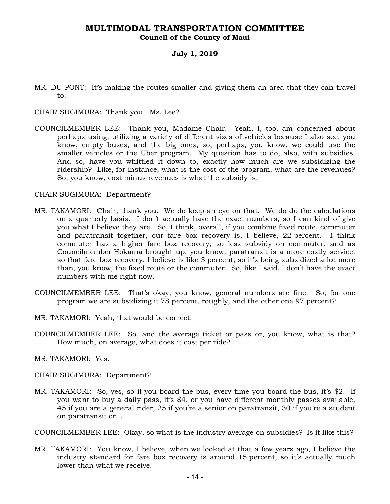#### **Council of the County of Maui**

#### **July 1, 2019**

MR. DU PONT: It's making the routes smaller and giving them an area that they can travel to.

CHAIR SUGIMURA: Thank you. Ms. Lee?

COUNCILMEMBER LEE: Thank you, Madame Chair. Yeah, I, too, am concerned about perhaps using, utilizing a variety of different sizes of vehicles because I also see, you know, empty buses, and the big ones, so, perhaps, you know, we could use the smaller vehicles or the Uber program. My question has to do, also, with subsidies. And so, have you whittled it down to, exactly how much are we subsidizing the ridership? Like, for instance, what is the cost of the program, what are the revenues? So, you know, cost minus revenues is what the subsidy is.

#### CHAIR SUGIMURA: Department?

- MR. TAKAMORI: Chair, thank you. We do keep an eye on that. We do do the calculations on a quarterly basis. I don't actually have the exact numbers, so I can kind of give you what I believe they are. So, I think, overall, if you combine fixed route, commuter and paratransit together, our fare box recovery is, I believe, 22 percent. I think commuter has a higher fare box recovery, so less subsidy on commuter, and as Councilmember Hokama brought up, you know, paratransit is a more costly service, so that fare box recovery, I believe is like 3 percent, so it's being subsidized a lot more than, you know, the fixed route or the commuter. So, like I said, I don't have the exact numbers with me right now.
- COUNCILMEMBER LEE: That's okay, you know, general numbers are fine. So, for one program we are subsidizing it 78 percent, roughly, and the other one 97 percent?
- MR. TAKAMORI: Yeah, that would be correct.
- COUNCILMEMBER LEE: So, and the average ticket or pass or, you know, what is that? How much, on average, what does it cost per ride?
- MR. TAKAMORI: Yes.
- CHAIR SUGIMURA: Department?
- MR. TAKAMORI: So, yes, so if you board the bus, every time you board the bus, it's \$2. If you want to buy a daily pass, it's \$4, or you have different monthly passes available, 45 if you are a general rider, 25 if you're a senior on paratransit, 30 if you're a student on paratransit or…

COUNCILMEMBER LEE: Okay, so what is the industry average on subsidies? Is it like this?

MR. TAKAMORI: You know, I believe, when we looked at that a few years ago, I believe the industry standard for fare box recovery is around 15 percent, so it's actually much lower than what we receive.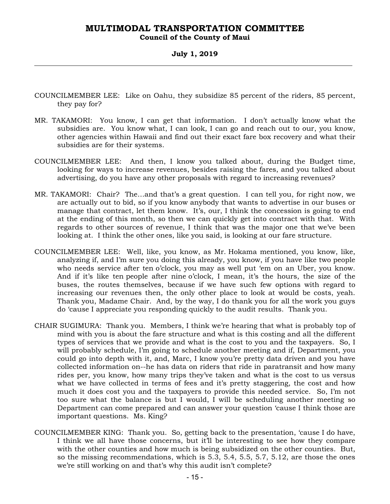#### **Council of the County of Maui**

#### **July 1, 2019**

- COUNCILMEMBER LEE: Like on Oahu, they subsidize 85 percent of the riders, 85 percent, they pay for?
- MR. TAKAMORI: You know, I can get that information. I don't actually know what the subsidies are. You know what, I can look, I can go and reach out to our, you know, other agencies within Hawaii and find out their exact fare box recovery and what their subsidies are for their systems.
- COUNCILMEMBER LEE: And then, I know you talked about, during the Budget time, looking for ways to increase revenues, besides raising the fares, and you talked about advertising, do you have any other proposals with regard to increasing revenues?
- MR. TAKAMORI: Chair? The…and that's a great question. I can tell you, for right now, we are actually out to bid, so if you know anybody that wants to advertise in our buses or manage that contract, let them know. It's, our, I think the concession is going to end at the ending of this month, so then we can quickly get into contract with that. With regards to other sources of revenue, I think that was the major one that we've been looking at. I think the other ones, like you said, is looking at our fare structure.
- COUNCILMEMBER LEE: Well, like, you know, as Mr. Hokama mentioned, you know, like, analyzing if, and I'm sure you doing this already, you know, if you have like two people who needs service after ten o'clock, you may as well put 'em on an Uber, you know. And if it's like ten people after nine o'clock, I mean, it's the hours, the size of the buses, the routes themselves, because if we have such few options with regard to increasing our revenues then, the only other place to look at would be costs, yeah. Thank you, Madame Chair. And, by the way, I do thank you for all the work you guys do 'cause I appreciate you responding quickly to the audit results. Thank you.
- CHAIR SUGIMURA: Thank you. Members, I think we're hearing that what is probably top of mind with you is about the fare structure and what is this costing and all the different types of services that we provide and what is the cost to you and the taxpayers. So, I will probably schedule, I'm going to schedule another meeting and if, Department, you could go into depth with it, and, Marc, I know you're pretty data driven and you have collected information on--he has data on riders that ride in paratransit and how many rides per, you know, how many trips they've taken and what is the cost to us versus what we have collected in terms of fees and it's pretty staggering, the cost and how much it does cost you and the taxpayers to provide this needed service. So, I'm not too sure what the balance is but I would, I will be scheduling another meeting so Department can come prepared and can answer your question 'cause I think those are important questions. Ms. King?
- COUNCILMEMBER KING: Thank you. So, getting back to the presentation, 'cause I do have, I think we all have those concerns, but it'll be interesting to see how they compare with the other counties and how much is being subsidized on the other counties. But, so the missing recommendations, which is 5.3, 5.4, 5.5, 5.7, 5.12, are those the ones we're still working on and that's why this audit isn't complete?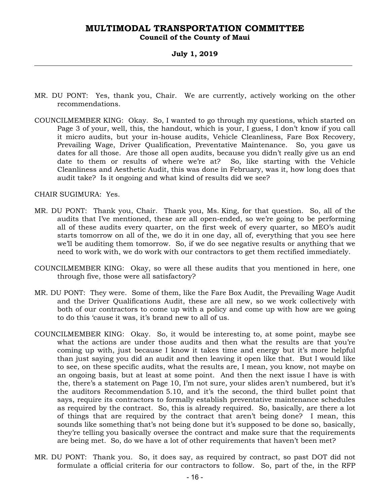**Council of the County of Maui** 

**July 1, 2019** 

- MR. DU PONT: Yes, thank you, Chair. We are currently, actively working on the other recommendations.
- COUNCILMEMBER KING: Okay. So, I wanted to go through my questions, which started on Page 3 of your, well, this, the handout, which is your, I guess, I don't know if you call it micro audits, but your in-house audits, Vehicle Cleanliness, Fare Box Recovery, Prevailing Wage, Driver Qualification, Preventative Maintenance. So, you gave us dates for all those. Are those all open audits, because you didn't really give us an end date to them or results of where we're at? So, like starting with the Vehicle Cleanliness and Aesthetic Audit, this was done in February, was it, how long does that audit take? Is it ongoing and what kind of results did we see?

CHAIR SUGIMURA: Yes.

- MR. DU PONT: Thank you, Chair. Thank you, Ms. King, for that question. So, all of the audits that I've mentioned, these are all open-ended, so we're going to be performing all of these audits every quarter, on the first week of every quarter, so MEO's audit starts tomorrow on all of the, we do it in one day, all of, everything that you see here we'll be auditing them tomorrow. So, if we do see negative results or anything that we need to work with, we do work with our contractors to get them rectified immediately.
- COUNCILMEMBER KING: Okay, so were all these audits that you mentioned in here, one through five, those were all satisfactory?
- MR. DU PONT: They were. Some of them, like the Fare Box Audit, the Prevailing Wage Audit and the Driver Qualifications Audit, these are all new, so we work collectively with both of our contractors to come up with a policy and come up with how are we going to do this 'cause it was, it's brand new to all of us.
- COUNCILMEMBER KING: Okay. So, it would be interesting to, at some point, maybe see what the actions are under those audits and then what the results are that you're coming up with, just because I know it takes time and energy but it's more helpful than just saying you did an audit and then leaving it open like that. But I would like to see, on these specific audits, what the results are, I mean, you know, not maybe on an ongoing basis, but at least at some point. And then the next issue I have is with the, there's a statement on Page 10, I'm not sure, your slides aren't numbered, but it's the auditors Recommendation 5.10, and it's the second, the third bullet point that says, require its contractors to formally establish preventative maintenance schedules as required by the contract. So, this is already required. So, basically, are there a lot of things that are required by the contract that aren't being done? I mean, this sounds like something that's not being done but it's supposed to be done so, basically, they're telling you basically oversee the contract and make sure that the requirements are being met. So, do we have a lot of other requirements that haven't been met?
- MR. DU PONT: Thank you. So, it does say, as required by contract, so past DOT did not formulate a official criteria for our contractors to follow. So, part of the, in the RFP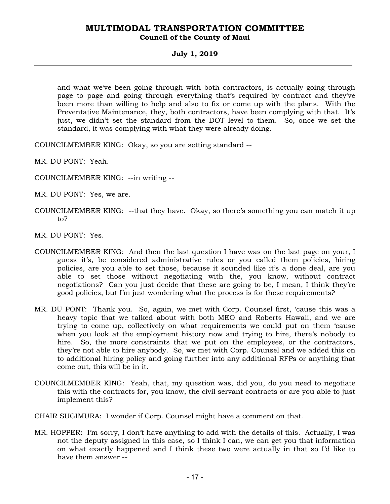#### **Council of the County of Maui**

#### **July 1, 2019**

and what we've been going through with both contractors, is actually going through page to page and going through everything that's required by contract and they've been more than willing to help and also to fix or come up with the plans. With the Preventative Maintenance, they, both contractors, have been complying with that. It's just, we didn't set the standard from the DOT level to them. So, once we set the standard, it was complying with what they were already doing.

COUNCILMEMBER KING: Okay, so you are setting standard --

MR. DU PONT: Yeah.

- COUNCILMEMBER KING: --in writing --
- MR. DU PONT: Yes, we are.
- COUNCILMEMBER KING: --that they have. Okay, so there's something you can match it up to?

MR. DU PONT: Yes.

- COUNCILMEMBER KING: And then the last question I have was on the last page on your, I guess it's, be considered administrative rules or you called them policies, hiring policies, are you able to set those, because it sounded like it's a done deal, are you able to set those without negotiating with the, you know, without contract negotiations? Can you just decide that these are going to be, I mean, I think they're good policies, but I'm just wondering what the process is for these requirements?
- MR. DU PONT: Thank you. So, again, we met with Corp. Counsel first, 'cause this was a heavy topic that we talked about with both MEO and Roberts Hawaii, and we are trying to come up, collectively on what requirements we could put on them 'cause when you look at the employment history now and trying to hire, there's nobody to hire. So, the more constraints that we put on the employees, or the contractors, they're not able to hire anybody. So, we met with Corp. Counsel and we added this on to additional hiring policy and going further into any additional RFPs or anything that come out, this will be in it.
- COUNCILMEMBER KING: Yeah, that, my question was, did you, do you need to negotiate this with the contracts for, you know, the civil servant contracts or are you able to just implement this?
- CHAIR SUGIMURA: I wonder if Corp. Counsel might have a comment on that.
- MR. HOPPER: I'm sorry, I don't have anything to add with the details of this. Actually, I was not the deputy assigned in this case, so I think I can, we can get you that information on what exactly happened and I think these two were actually in that so I'd like to have them answer --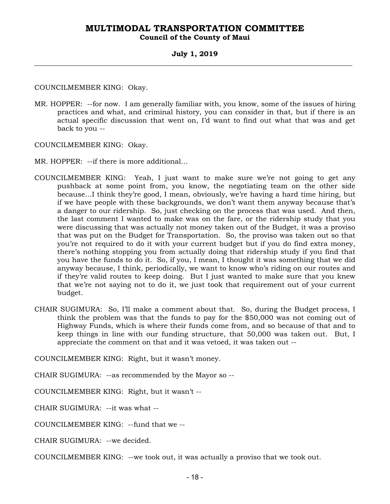### **Council of the County of Maui**

#### **July 1, 2019**

COUNCILMEMBER KING: Okay.

MR. HOPPER: --for now. I am generally familiar with, you know, some of the issues of hiring practices and what, and criminal history, you can consider in that, but if there is an actual specific discussion that went on, I'd want to find out what that was and get back to you --

COUNCILMEMBER KING: Okay.

- MR. HOPPER: --if there is more additional…
- COUNCILMEMBER KING: Yeah, I just want to make sure we're not going to get any pushback at some point from, you know, the negotiating team on the other side because…I think they're good, I mean, obviously, we're having a hard time hiring, but if we have people with these backgrounds, we don't want them anyway because that's a danger to our ridership. So, just checking on the process that was used. And then, the last comment I wanted to make was on the fare, or the ridership study that you were discussing that was actually not money taken out of the Budget, it was a proviso that was put on the Budget for Transportation. So, the proviso was taken out so that you're not required to do it with your current budget but if you do find extra money, there's nothing stopping you from actually doing that ridership study if you find that you have the funds to do it. So, if you, I mean, I thought it was something that we did anyway because, I think, periodically, we want to know who's riding on our routes and if they're valid routes to keep doing. But I just wanted to make sure that you knew that we're not saying not to do it, we just took that requirement out of your current budget.
- CHAIR SUGIMURA: So, I'll make a comment about that. So, during the Budget process, I think the problem was that the funds to pay for the \$50,000 was not coming out of Highway Funds, which is where their funds come from, and so because of that and to keep things in line with our funding structure, that 50,000 was taken out. But, I appreciate the comment on that and it was vetoed, it was taken out --

COUNCILMEMBER KING: Right, but it wasn't money.

CHAIR SUGIMURA: --as recommended by the Mayor so --

COUNCILMEMBER KING: Right, but it wasn't --

CHAIR SUGIMURA: --it was what --

COUNCILMEMBER KING: --fund that we --

CHAIR SUGIMURA: --we decided.

COUNCILMEMBER KING: --we took out, it was actually a proviso that we took out.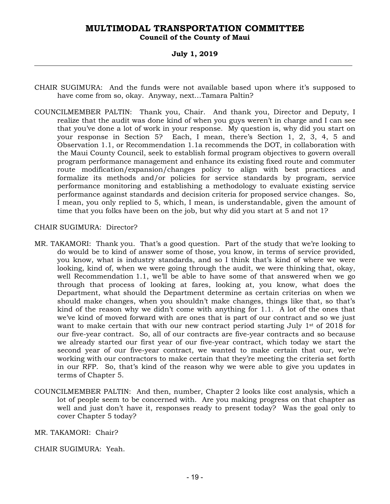### **Council of the County of Maui**

#### **July 1, 2019**

- CHAIR SUGIMURA: And the funds were not available based upon where it's supposed to have come from so, okay. Anyway, next…Tamara Paltin?
- COUNCILMEMBER PALTIN: Thank you, Chair. And thank you, Director and Deputy, I realize that the audit was done kind of when you guys weren't in charge and I can see that you've done a lot of work in your response. My question is, why did you start on your response in Section 5? Each, I mean, there's Section 1, 2, 3, 4, 5 and Observation 1.1, or Recommendation 1.1a recommends the DOT, in collaboration with the Maui County Council, seek to establish formal program objectives to govern overall program performance management and enhance its existing fixed route and commuter route modification/expansion/changes policy to align with best practices and formalize its methods and/or policies for service standards by program, service performance monitoring and establishing a methodology to evaluate existing service performance against standards and decision criteria for proposed service changes. So, I mean, you only replied to 5, which, I mean, is understandable, given the amount of time that you folks have been on the job, but why did you start at 5 and not 1?

#### CHAIR SUGIMURA: Director?

- MR. TAKAMORI: Thank you. That's a good question. Part of the study that we're looking to do would be to kind of answer some of those, you know, in terms of service provided, you know, what is industry standards, and so I think that's kind of where we were looking, kind of, when we were going through the audit, we were thinking that, okay, well Recommendation 1.1, we'll be able to have some of that answered when we go through that process of looking at fares, looking at, you know, what does the Department, what should the Department determine as certain criterias on when we should make changes, when you shouldn't make changes, things like that, so that's kind of the reason why we didn't come with anything for 1.1. A lot of the ones that we've kind of moved forward with are ones that is part of our contract and so we just want to make certain that with our new contract period starting July 1<sup>st</sup> of 2018 for our five-year contract. So, all of our contracts are five-year contracts and so because we already started our first year of our five-year contract, which today we start the second year of our five-year contract, we wanted to make certain that our, we're working with our contractors to make certain that they're meeting the criteria set forth in our RFP. So, that's kind of the reason why we were able to give you updates in terms of Chapter 5.
- COUNCILMEMBER PALTIN: And then, number, Chapter 2 looks like cost analysis, which a lot of people seem to be concerned with. Are you making progress on that chapter as well and just don't have it, responses ready to present today? Was the goal only to cover Chapter 5 today?

MR. TAKAMORI: Chair?

CHAIR SUGIMURA: Yeah.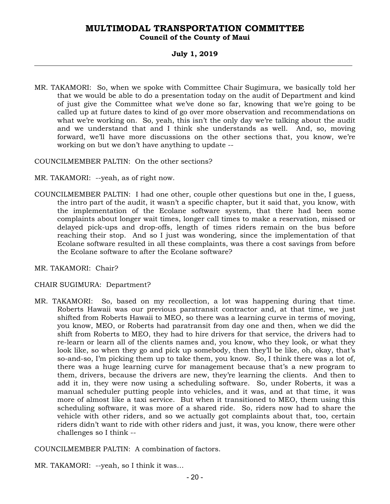#### **Council of the County of Maui**

### **July 1, 2019**

MR. TAKAMORI: So, when we spoke with Committee Chair Sugimura, we basically told her that we would be able to do a presentation today on the audit of Department and kind of just give the Committee what we've done so far, knowing that we're going to be called up at future dates to kind of go over more observation and recommendations on what we're working on. So, yeah, this isn't the only day we're talking about the audit and we understand that and I think she understands as well. And, so, moving forward, we'll have more discussions on the other sections that, you know, we're working on but we don't have anything to update --

COUNCILMEMBER PALTIN: On the other sections?

- MR. TAKAMORI: --yeah, as of right now.
- COUNCILMEMBER PALTIN: I had one other, couple other questions but one in the, I guess, the intro part of the audit, it wasn't a specific chapter, but it said that, you know, with the implementation of the Ecolane software system, that there had been some complaints about longer wait times, longer call times to make a reservation, missed or delayed pick-ups and drop-offs, length of times riders remain on the bus before reaching their stop. And so I just was wondering, since the implementation of that Ecolane software resulted in all these complaints, was there a cost savings from before the Ecolane software to after the Ecolane software?
- MR. TAKAMORI: Chair?

#### CHAIR SUGIMURA: Department?

MR. TAKAMORI: So, based on my recollection, a lot was happening during that time. Roberts Hawaii was our previous paratransit contractor and, at that time, we just shifted from Roberts Hawaii to MEO, so there was a learning curve in terms of moving, you know, MEO, or Roberts had paratransit from day one and then, when we did the shift from Roberts to MEO, they had to hire drivers for that service, the drivers had to re-learn or learn all of the clients names and, you know, who they look, or what they look like, so when they go and pick up somebody, then they'll be like, oh, okay, that's so-and-so, I'm picking them up to take them, you know. So, I think there was a lot of, there was a huge learning curve for management because that's a new program to them, drivers, because the drivers are new, they're learning the clients. And then to add it in, they were now using a scheduling software. So, under Roberts, it was a manual scheduler putting people into vehicles, and it was, and at that time, it was more of almost like a taxi service. But when it transitioned to MEO, them using this scheduling software, it was more of a shared ride. So, riders now had to share the vehicle with other riders, and so we actually got complaints about that, too, certain riders didn't want to ride with other riders and just, it was, you know, there were other challenges so I think --

COUNCILMEMBER PALTIN: A combination of factors.

MR. TAKAMORI: --yeah, so I think it was…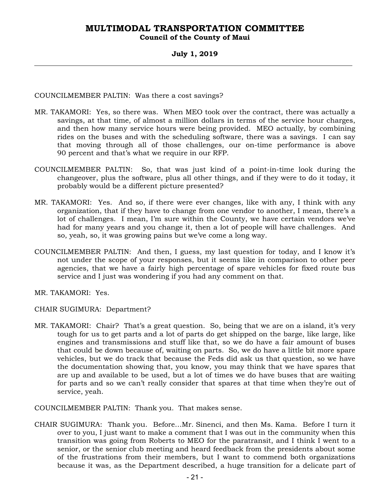**Council of the County of Maui** 

#### **July 1, 2019**

COUNCILMEMBER PALTIN: Was there a cost savings?

- MR. TAKAMORI: Yes, so there was. When MEO took over the contract, there was actually a savings, at that time, of almost a million dollars in terms of the service hour charges, and then how many service hours were being provided. MEO actually, by combining rides on the buses and with the scheduling software, there was a savings. I can say that moving through all of those challenges, our on-time performance is above 90 percent and that's what we require in our RFP.
- COUNCILMEMBER PALTIN: So, that was just kind of a point-in-time look during the changeover, plus the software, plus all other things, and if they were to do it today, it probably would be a different picture presented?
- MR. TAKAMORI: Yes. And so, if there were ever changes, like with any, I think with any organization, that if they have to change from one vendor to another, I mean, there's a lot of challenges. I mean, I'm sure within the County, we have certain vendors we've had for many years and you change it, then a lot of people will have challenges. And so, yeah, so, it was growing pains but we've come a long way.
- COUNCILMEMBER PALTIN: And then, I guess, my last question for today, and I know it's not under the scope of your responses, but it seems like in comparison to other peer agencies, that we have a fairly high percentage of spare vehicles for fixed route bus service and I just was wondering if you had any comment on that.
- MR. TAKAMORI: Yes.
- CHAIR SUGIMURA: Department?
- MR. TAKAMORI: Chair? That's a great question. So, being that we are on a island, it's very tough for us to get parts and a lot of parts do get shipped on the barge, like large, like engines and transmissions and stuff like that, so we do have a fair amount of buses that could be down because of, waiting on parts. So, we do have a little bit more spare vehicles, but we do track that because the Feds did ask us that question, so we have the documentation showing that, you know, you may think that we have spares that are up and available to be used, but a lot of times we do have buses that are waiting for parts and so we can't really consider that spares at that time when they're out of service, yeah.

COUNCILMEMBER PALTIN: Thank you. That makes sense.

CHAIR SUGIMURA: Thank you. Before…Mr. Sinenci, and then Ms. Kama. Before I turn it over to you, I just want to make a comment that I was out in the community when this transition was going from Roberts to MEO for the paratransit, and I think I went to a senior, or the senior club meeting and heard feedback from the presidents about some of the frustrations from their members, but I want to commend both organizations because it was, as the Department described, a huge transition for a delicate part of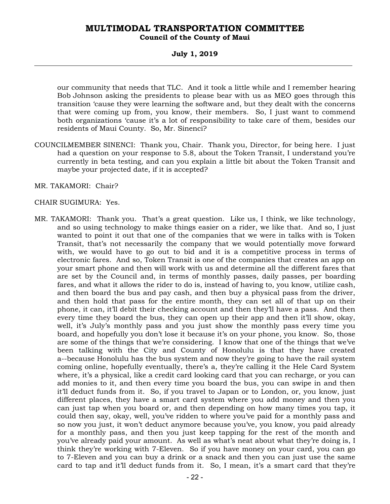#### **Council of the County of Maui**

#### **July 1, 2019**

our community that needs that TLC. And it took a little while and I remember hearing Bob Johnson asking the presidents to please bear with us as MEO goes through this transition 'cause they were learning the software and, but they dealt with the concerns that were coming up from, you know, their members. So, I just want to commend both organizations 'cause it's a lot of responsibility to take care of them, besides our residents of Maui County. So, Mr. Sinenci?

- COUNCILMEMBER SINENCI: Thank you, Chair. Thank you, Director, for being here. I just had a question on your response to 5.8, about the Token Transit, I understand you're currently in beta testing, and can you explain a little bit about the Token Transit and maybe your projected date, if it is accepted?
- MR. TAKAMORI: Chair?

#### CHAIR SUGIMURA: Yes.

MR. TAKAMORI: Thank you. That's a great question. Like us, I think, we like technology, and so using technology to make things easier on a rider, we like that. And so, I just wanted to point it out that one of the companies that we were in talks with is Token Transit, that's not necessarily the company that we would potentially move forward with, we would have to go out to bid and it is a competitive process in terms of electronic fares. And so, Token Transit is one of the companies that creates an app on your smart phone and then will work with us and determine all the different fares that are set by the Council and, in terms of monthly passes, daily passes, per boarding fares, and what it allows the rider to do is, instead of having to, you know, utilize cash, and then board the bus and pay cash, and then buy a physical pass from the driver, and then hold that pass for the entire month, they can set all of that up on their phone, it can, it'll debit their checking account and then they'll have a pass. And then every time they board the bus, they can open up their app and then it'll show, okay, well, it's July's monthly pass and you just show the monthly pass every time you board, and hopefully you don't lose it because it's on your phone, you know. So, those are some of the things that we're considering. I know that one of the things that we've been talking with the City and County of Honolulu is that they have created a--because Honolulu has the bus system and now they're going to have the rail system coming online, hopefully eventually, there's a, they're calling it the Hele Card System where, it's a physical, like a credit card looking card that you can recharge, or you can add monies to it, and then every time you board the bus, you can swipe in and then it'll deduct funds from it. So, if you travel to Japan or to London, or, you know, just different places, they have a smart card system where you add money and then you can just tap when you board or, and then depending on how many times you tap, it could then say, okay, well, you've ridden to where you've paid for a monthly pass and so now you just, it won't deduct anymore because you've, you know, you paid already for a monthly pass, and then you just keep tapping for the rest of the month and you've already paid your amount. As well as what's neat about what they're doing is, I think they're working with 7-Eleven. So if you have money on your card, you can go to 7-Eleven and you can buy a drink or a snack and then you can just use the same card to tap and it'll deduct funds from it. So, I mean, it's a smart card that they're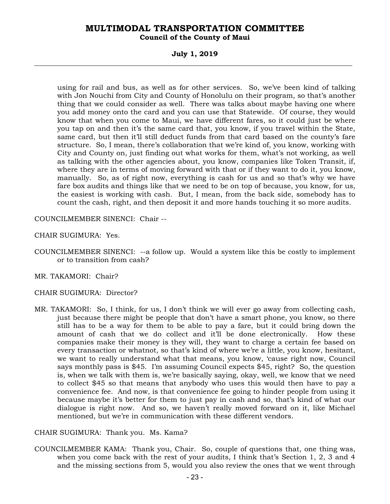#### **Council of the County of Maui**

#### **July 1, 2019**

using for rail and bus, as well as for other services. So, we've been kind of talking with Jon Nouchi from City and County of Honolulu on their program, so that's another thing that we could consider as well. There was talks about maybe having one where you add money onto the card and you can use that Statewide. Of course, they would know that when you come to Maui, we have different fares, so it could just be where you tap on and then it's the same card that, you know, if you travel within the State, same card, but then it'll still deduct funds from that card based on the county's fare structure. So, I mean, there's collaboration that we're kind of, you know, working with City and County on, just finding out what works for them, what's not working, as well as talking with the other agencies about, you know, companies like Token Transit, if, where they are in terms of moving forward with that or if they want to do it, you know, manually. So, as of right now, everything is cash for us and so that's why we have fare box audits and things like that we need to be on top of because, you know, for us, the easiest is working with cash. But, I mean, from the back side, somebody has to count the cash, right, and then deposit it and more hands touching it so more audits.

COUNCILMEMBER SINENCI: Chair --

CHAIR SUGIMURA: Yes.

- COUNCILMEMBER SINENCI: --a follow up. Would a system like this be costly to implement or to transition from cash?
- MR. TAKAMORI: Chair?
- CHAIR SUGIMURA: Director?
- MR. TAKAMORI: So, I think, for us, I don't think we will ever go away from collecting cash, just because there might be people that don't have a smart phone, you know, so there still has to be a way for them to be able to pay a fare, but it could bring down the amount of cash that we do collect and it'll be done electronically. How these companies make their money is they will, they want to charge a certain fee based on every transaction or whatnot, so that's kind of where we're a little, you know, hesitant, we want to really understand what that means, you know, 'cause right now, Council says monthly pass is \$45. I'm assuming Council expects \$45, right? So, the question is, when we talk with them is, we're basically saying, okay, well, we know that we need to collect \$45 so that means that anybody who uses this would then have to pay a convenience fee. And now, is that convenience fee going to hinder people from using it because maybe it's better for them to just pay in cash and so, that's kind of what our dialogue is right now. And so, we haven't really moved forward on it, like Michael mentioned, but we're in communication with these different vendors.

CHAIR SUGIMURA: Thank you. Ms. Kama?

COUNCILMEMBER KAMA: Thank you, Chair. So, couple of questions that, one thing was, when you come back with the rest of your audits, I think that's Section 1, 2, 3 and 4 and the missing sections from 5, would you also review the ones that we went through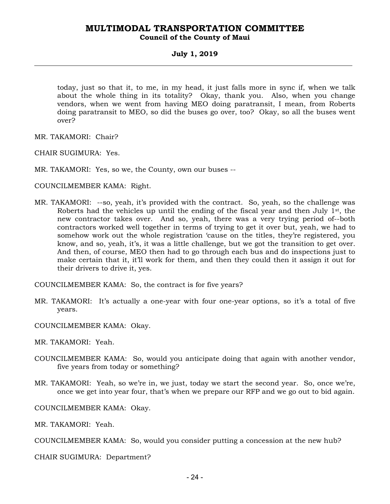### **MULTIMODAL TRANSPORTATION COMMITTEE Council of the County of Maui**

#### **July 1, 2019**

today, just so that it, to me, in my head, it just falls more in sync if, when we talk about the whole thing in its totality? Okay, thank you. Also, when you change vendors, when we went from having MEO doing paratransit, I mean, from Roberts doing paratransit to MEO, so did the buses go over, too? Okay, so all the buses went over?

MR. TAKAMORI: Chair?

CHAIR SUGIMURA: Yes.

MR. TAKAMORI: Yes, so we, the County, own our buses --

COUNCILMEMBER KAMA: Right.

MR. TAKAMORI: --so, yeah, it's provided with the contract. So, yeah, so the challenge was Roberts had the vehicles up until the ending of the fiscal year and then July  $1<sup>st</sup>$ , the new contractor takes over. And so, yeah, there was a very trying period of--both contractors worked well together in terms of trying to get it over but, yeah, we had to somehow work out the whole registration 'cause on the titles, they're registered, you know, and so, yeah, it's, it was a little challenge, but we got the transition to get over. And then, of course, MEO then had to go through each bus and do inspections just to make certain that it, it'll work for them, and then they could then it assign it out for their drivers to drive it, yes.

COUNCILMEMBER KAMA: So, the contract is for five years?

MR. TAKAMORI: It's actually a one-year with four one-year options, so it's a total of five years.

COUNCILMEMBER KAMA: Okay.

MR. TAKAMORI: Yeah.

- COUNCILMEMBER KAMA: So, would you anticipate doing that again with another vendor, five years from today or something?
- MR. TAKAMORI: Yeah, so we're in, we just, today we start the second year. So, once we're, once we get into year four, that's when we prepare our RFP and we go out to bid again.

COUNCILMEMBER KAMA: Okay.

MR. TAKAMORI: Yeah.

COUNCILMEMBER KAMA: So, would you consider putting a concession at the new hub?

CHAIR SUGIMURA: Department?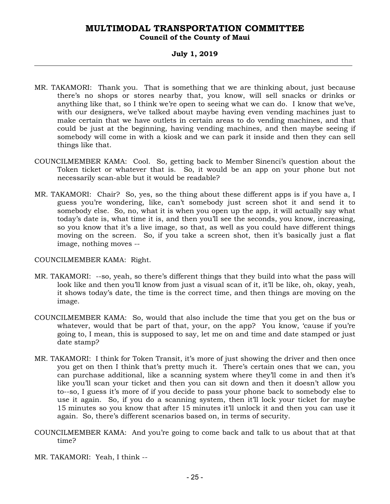### **Council of the County of Maui**

#### **July 1, 2019**

- MR. TAKAMORI: Thank you. That is something that we are thinking about, just because there's no shops or stores nearby that, you know, will sell snacks or drinks or anything like that, so I think we're open to seeing what we can do. I know that we've, with our designers, we've talked about maybe having even vending machines just to make certain that we have outlets in certain areas to do vending machines, and that could be just at the beginning, having vending machines, and then maybe seeing if somebody will come in with a kiosk and we can park it inside and then they can sell things like that.
- COUNCILMEMBER KAMA: Cool. So, getting back to Member Sinenci's question about the Token ticket or whatever that is. So, it would be an app on your phone but not necessarily scan-able but it would be readable?
- MR. TAKAMORI: Chair? So, yes, so the thing about these different apps is if you have a, I guess you're wondering, like, can't somebody just screen shot it and send it to somebody else. So, no, what it is when you open up the app, it will actually say what today's date is, what time it is, and then you'll see the seconds, you know, increasing, so you know that it's a live image, so that, as well as you could have different things moving on the screen. So, if you take a screen shot, then it's basically just a flat image, nothing moves --

#### COUNCILMEMBER KAMA: Right.

- MR. TAKAMORI: --so, yeah, so there's different things that they build into what the pass will look like and then you'll know from just a visual scan of it, it'll be like, oh, okay, yeah, it shows today's date, the time is the correct time, and then things are moving on the image.
- COUNCILMEMBER KAMA: So, would that also include the time that you get on the bus or whatever, would that be part of that, your, on the app? You know, 'cause if you're going to, I mean, this is supposed to say, let me on and time and date stamped or just date stamp?
- MR. TAKAMORI: I think for Token Transit, it's more of just showing the driver and then once you get on then I think that's pretty much it. There's certain ones that we can, you can purchase additional, like a scanning system where they'll come in and then it's like you'll scan your ticket and then you can sit down and then it doesn't allow you to--so, I guess it's more of if you decide to pass your phone back to somebody else to use it again. So, if you do a scanning system, then it'll lock your ticket for maybe 15 minutes so you know that after 15 minutes it'll unlock it and then you can use it again. So, there's different scenarios based on, in terms of security.
- COUNCILMEMBER KAMA: And you're going to come back and talk to us about that at that time?
- MR. TAKAMORI: Yeah, I think --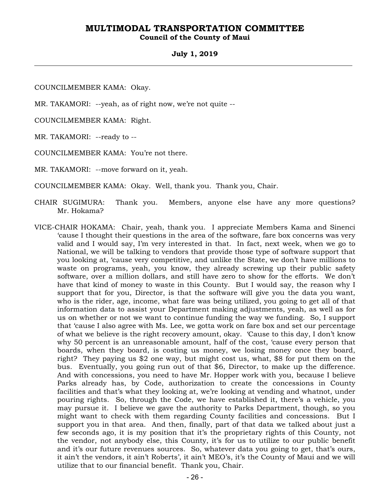#### **Council of the County of Maui**

#### **July 1, 2019**

COUNCILMEMBER KAMA: Okay.

MR. TAKAMORI: --yeah, as of right now, we're not quite --

COUNCILMEMBER KAMA: Right.

MR. TAKAMORI: --ready to --

COUNCILMEMBER KAMA: You're not there.

MR. TAKAMORI: --move forward on it, yeah.

COUNCILMEMBER KAMA: Okay. Well, thank you. Thank you, Chair.

- CHAIR SUGIMURA: Thank you. Members, anyone else have any more questions? Mr. Hokama?
- VICE-CHAIR HOKAMA: Chair, yeah, thank you. I appreciate Members Kama and Sinenci 'cause I thought their questions in the area of the software, fare box concerns was very valid and I would say, I'm very interested in that. In fact, next week, when we go to National, we will be talking to vendors that provide those type of software support that you looking at, 'cause very competitive, and unlike the State, we don't have millions to waste on programs, yeah, you know, they already screwing up their public safety software, over a million dollars, and still have zero to show for the efforts. We don't have that kind of money to waste in this County. But I would say, the reason why I support that for you, Director, is that the software will give you the data you want, who is the rider, age, income, what fare was being utilized, you going to get all of that information data to assist your Department making adjustments, yeah, as well as for us on whether or not we want to continue funding the way we funding. So, I support that 'cause I also agree with Ms. Lee, we gotta work on fare box and set our percentage of what we believe is the right recovery amount, okay. 'Cause to this day, I don't know why 50 percent is an unreasonable amount, half of the cost, 'cause every person that boards, when they board, is costing us money, we losing money once they board, right? They paying us \$2 one way, but might cost us, what, \$8 for put them on the bus. Eventually, you going run out of that \$6, Director, to make up the difference. And with concessions, you need to have Mr. Hopper work with you, because I believe Parks already has, by Code, authorization to create the concessions in County facilities and that's what they looking at, we're looking at vending and whatnot, under pouring rights. So, through the Code, we have established it, there's a vehicle, you may pursue it. I believe we gave the authority to Parks Department, though, so you might want to check with them regarding County facilities and concessions. But I support you in that area. And then, finally, part of that data we talked about just a few seconds ago, it is my position that it's the proprietary rights of this County, not the vendor, not anybody else, this County, it's for us to utilize to our public benefit and it's our future revenues sources. So, whatever data you going to get, that's ours, it ain't the vendors, it ain't Roberts', it ain't MEO's, it's the County of Maui and we will utilize that to our financial benefit. Thank you, Chair.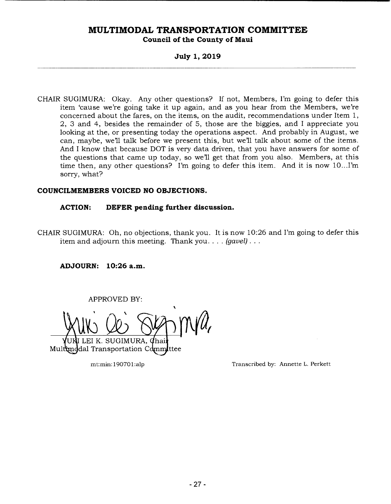## **MULTIMODAL TRANSPORTATION COMMITTEE Council of the County of Maui**

### **July 1, 2019**

CHAIR SUGIMURA: Okay. Any other questions? If not, Members, I'm going to defer this item 'cause we're going take it up again, and as you hear from the Members, we're concerned about the fares, on the items, on the audit, recommendations under Item 1, 2, 3 and 4, besides the remainder of 5, those are the biggies, and I appreciate you looking at the, or presenting today the operations aspect. And probably in August, we can, maybe, we'll talk before we present this, but we'll talk about some of the items. And I know that because DOT is very data driven, that you have answers for some of the questions that came up today, so we'll get that from you also. Members, at this time then, any other questions? I'm going to defer this item. And it is now  $10...$ I'm sorry, what?

#### **COUNCILMEMBERS VOICED NO OBJECTIONS.**

#### **ACTION: DEFER pending further discussion.**

CHAIR SUGIMURA: Oh, no objections, thank you. It is now 10:26 and I'm going to defer this item and adjourn this meeting. Thank you. . . . *(gavel).* 

**ADJOURN: 10:26 a.m.** 

APPROVED BY:

**1~ I**  WW QO SUM M K. SUGIMURA, Chair<br>ransportation Committee

Multunddal Transportation Comm

mt:min: 19070 1:alp Transcribed by: Annette L. Perkett